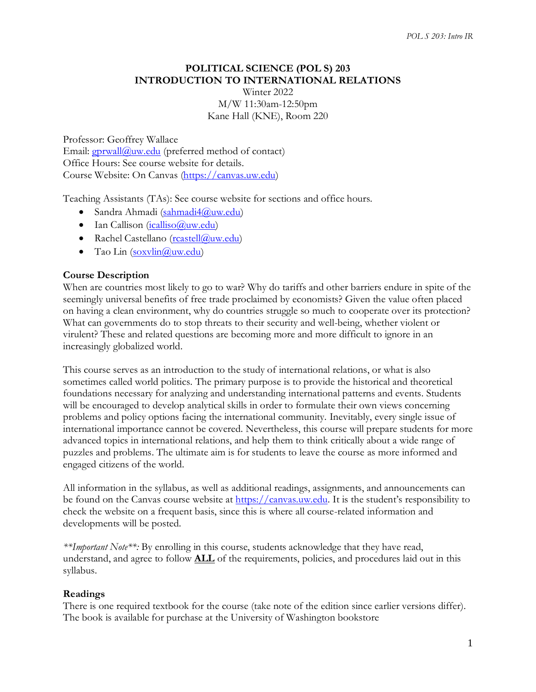# **POLITICAL SCIENCE (POL S) 203 INTRODUCTION TO INTERNATIONAL RELATIONS** Winter 2022

M/W 11:30am-12:50pm Kane Hall (KNE), Room 220

Professor: Geoffrey Wallace Email:  $gprwall@uw.edu$  (preferred method of contact) Office Hours: See course website for details. Course Website: On Canvas [\(https://canvas.uw.edu\)](https://canvas.uw.edu/)

Teaching Assistants (TAs): See course website for sections and office hours.

- Sandra Ahmadi [\(sahmadi4@uw.edu\)](mailto:sahmadi4@uw.edu)
- Ian Callison  $(icalliso@uw.edu)$
- Rachel Castellano [\(rcastell@uw.edu\)](mailto:rcastell@uw.edu)
- Tao Lin  $(sosvlin@uw.edu)$

### **Course Description**

When are countries most likely to go to war? Why do tariffs and other barriers endure in spite of the seemingly universal benefits of free trade proclaimed by economists? Given the value often placed on having a clean environment, why do countries struggle so much to cooperate over its protection? What can governments do to stop threats to their security and well-being, whether violent or virulent? These and related questions are becoming more and more difficult to ignore in an increasingly globalized world.

This course serves as an introduction to the study of international relations, or what is also sometimes called world politics. The primary purpose is to provide the historical and theoretical foundations necessary for analyzing and understanding international patterns and events. Students will be encouraged to develop analytical skills in order to formulate their own views concerning problems and policy options facing the international community. Inevitably, every single issue of international importance cannot be covered. Nevertheless, this course will prepare students for more advanced topics in international relations, and help them to think critically about a wide range of puzzles and problems. The ultimate aim is for students to leave the course as more informed and engaged citizens of the world.

All information in the syllabus, as well as additional readings, assignments, and announcements can be found on the Canvas course website at [https://canvas.uw.edu.](https://canvas.uw.edu/) It is the student's responsibility to check the website on a frequent basis, since this is where all course-related information and developments will be posted.

*\*\*Important Note\*\*:* By enrolling in this course, students acknowledge that they have read, understand, and agree to follow **ALL** of the requirements, policies, and procedures laid out in this syllabus.

### **Readings**

There is one required textbook for the course (take note of the edition since earlier versions differ). The book is available for purchase at the University of Washington bookstore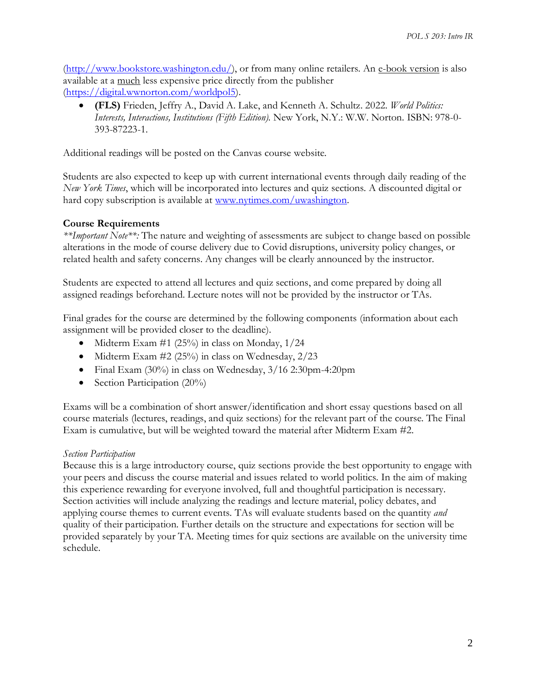[\(http://www.bookstore.washington.edu/\)](http://www.bookstore.washington.edu/), or from many online retailers. An e-book version is also available at a much less expensive price directly from the publisher [\(https://digital.wwnorton.com/worldpol5\)](https://digital.wwnorton.com/worldpol5).

• **(FLS)** Frieden, Jeffry A., David A. Lake, and Kenneth A. Schultz. 2022. *World Politics: Interests, Interactions, Institutions (Fifth Edition)*. New York, N.Y.: W.W. Norton. ISBN: 978-0- 393-87223-1.

Additional readings will be posted on the Canvas course website.

Students are also expected to keep up with current international events through daily reading of the *New York Times*, which will be incorporated into lectures and quiz sections. A discounted digital or hard copy subscription is available at [www.nytimes.com/uwashington.](http://www.nytimes.com/uwashington)

### **Course Requirements**

*\*\*Important Note\*\*:* The nature and weighting of assessments are subject to change based on possible alterations in the mode of course delivery due to Covid disruptions, university policy changes, or related health and safety concerns. Any changes will be clearly announced by the instructor.

Students are expected to attend all lectures and quiz sections, and come prepared by doing all assigned readings beforehand. Lecture notes will not be provided by the instructor or TAs.

Final grades for the course are determined by the following components (information about each assignment will be provided closer to the deadline).

- Midterm Exam  $#1$  (25%) in class on Monday,  $1/24$
- Midterm Exam  $#2$  (25%) in class on Wednesday,  $2/23$
- Final Exam (30%) in class on Wednesday, 3/16 2:30pm-4:20pm
- Section Participation (20%)

Exams will be a combination of short answer/identification and short essay questions based on all course materials (lectures, readings, and quiz sections) for the relevant part of the course. The Final Exam is cumulative, but will be weighted toward the material after Midterm Exam #2.

### *Section Participation*

Because this is a large introductory course, quiz sections provide the best opportunity to engage with your peers and discuss the course material and issues related to world politics. In the aim of making this experience rewarding for everyone involved, full and thoughtful participation is necessary. Section activities will include analyzing the readings and lecture material, policy debates, and applying course themes to current events. TAs will evaluate students based on the quantity *and*  quality of their participation. Further details on the structure and expectations for section will be provided separately by your TA. Meeting times for quiz sections are available on the university time schedule.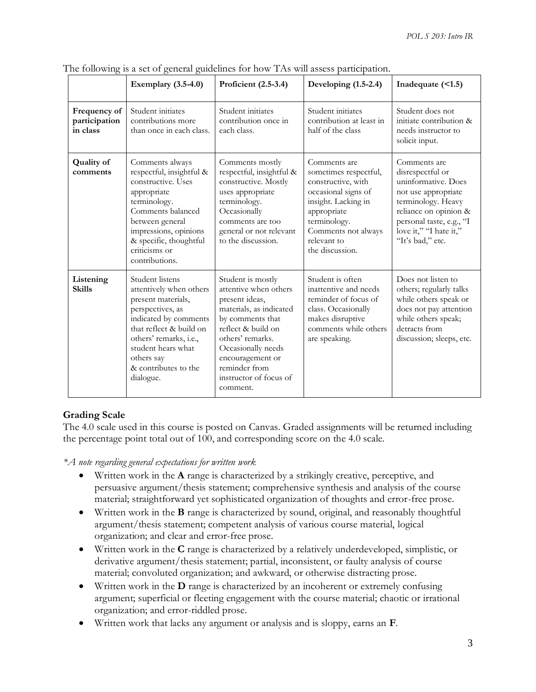|                                           | Exemplary $(3.5-4.0)$                                                                                                                                                                                                                       | Proficient (2.5-3.4)                                                                                                                                                                                                                                   | Developing $(1.5-2.4)$                                                                                                                                                                            | Inadequate $($ <1.5 $)$                                                                                                                                                                                 |
|-------------------------------------------|---------------------------------------------------------------------------------------------------------------------------------------------------------------------------------------------------------------------------------------------|--------------------------------------------------------------------------------------------------------------------------------------------------------------------------------------------------------------------------------------------------------|---------------------------------------------------------------------------------------------------------------------------------------------------------------------------------------------------|---------------------------------------------------------------------------------------------------------------------------------------------------------------------------------------------------------|
| Frequency of<br>participation<br>in class | Student initiates<br>contributions more<br>than once in each class.                                                                                                                                                                         | Student initiates<br>contribution once in<br>each class.                                                                                                                                                                                               | Student initiates<br>contribution at least in<br>half of the class                                                                                                                                | Student does not<br>initiate contribution &<br>needs instructor to<br>solicit input.                                                                                                                    |
| <b>Quality of</b><br>comments             | Comments always<br>respectful, insightful &<br>constructive. Uses<br>appropriate<br>terminology.<br>Comments balanced<br>between general<br>impressions, opinions<br>& specific, thoughtful<br>criticisms or<br>contributions.              | Comments mostly<br>respectful, insightful &<br>constructive. Mostly<br>uses appropriate<br>terminology.<br>Occasionally<br>comments are too<br>general or not relevant<br>to the discussion.                                                           | Comments are<br>sometimes respectful,<br>constructive, with<br>occasional signs of<br>insight. Lacking in<br>appropriate<br>terminology.<br>Comments not always<br>relevant to<br>the discussion. | Comments are<br>disrespectful or<br>uninformative. Does<br>not use appropriate<br>terminology. Heavy<br>reliance on opinion &<br>personal taste, e.g., "I<br>love it," "I hate it,"<br>"It's bad," etc. |
| Listening<br><b>Skills</b>                | Student listens<br>attentively when others<br>present materials,<br>perspectives, as<br>indicated by comments<br>that reflect & build on<br>others' remarks, i.e.,<br>student hears what<br>others say<br>& contributes to the<br>dialogue. | Student is mostly<br>attentive when others<br>present ideas,<br>materials, as indicated<br>by comments that<br>reflect & build on<br>others' remarks.<br>Occasionally needs<br>encouragement or<br>reminder from<br>instructor of focus of<br>comment. | Student is often<br>inattentive and needs<br>reminder of focus of<br>class. Occasionally<br>makes disruptive<br>comments while others<br>are speaking.                                            | Does not listen to<br>others; regularly talks<br>while others speak or<br>does not pay attention<br>while others speak;<br>detracts from<br>discussion; sleeps, etc.                                    |

The following is a set of general guidelines for how TAs will assess participation.

### **Grading Scale**

The 4.0 scale used in this course is posted on Canvas. Graded assignments will be returned including the percentage point total out of 100, and corresponding score on the 4.0 scale.

*\*A note regarding general expectations for written work*

- Written work in the **A** range is characterized by a strikingly creative, perceptive, and persuasive argument/thesis statement; comprehensive synthesis and analysis of the course material; straightforward yet sophisticated organization of thoughts and error-free prose.
- Written work in the **B** range is characterized by sound, original, and reasonably thoughtful argument/thesis statement; competent analysis of various course material, logical organization; and clear and error-free prose.
- Written work in the **C** range is characterized by a relatively underdeveloped, simplistic, or derivative argument/thesis statement; partial, inconsistent, or faulty analysis of course material; convoluted organization; and awkward, or otherwise distracting prose.
- Written work in the **D** range is characterized by an incoherent or extremely confusing argument; superficial or fleeting engagement with the course material; chaotic or irrational organization; and error-riddled prose.
- Written work that lacks any argument or analysis and is sloppy, earns an **F**.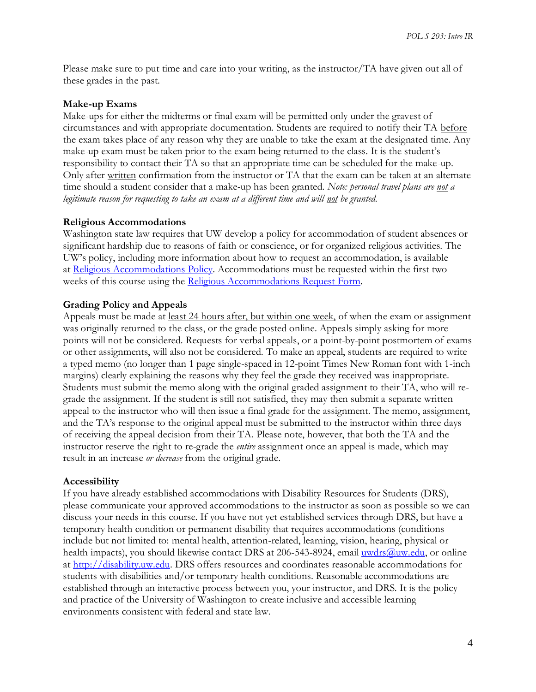Please make sure to put time and care into your writing, as the instructor/TA have given out all of these grades in the past.

### **Make-up Exams**

Make-ups for either the midterms or final exam will be permitted only under the gravest of circumstances and with appropriate documentation. Students are required to notify their TA before the exam takes place of any reason why they are unable to take the exam at the designated time. Any make-up exam must be taken prior to the exam being returned to the class. It is the student's responsibility to contact their TA so that an appropriate time can be scheduled for the make-up. Only after written confirmation from the instructor or TA that the exam can be taken at an alternate time should a student consider that a make-up has been granted. *Note: personal travel plans are not a legitimate reason for requesting to take an exam at a different time and will not be granted.*

### **Religious Accommodations**

Washington state law requires that UW develop a policy for accommodation of student absences or significant hardship due to reasons of faith or conscience, or for organized religious activities. The UW's policy, including more information about how to request an accommodation, is available at [Religious Accommodations Policy.](https://registrar.washington.edu/staffandfaculty/religious-accommodations-policy/) Accommodations must be requested within the first two weeks of this course using the [Religious Accommodations Request Form.](https://registrar.washington.edu/students/religious-accommodations-request/)

### **Grading Policy and Appeals**

Appeals must be made at <u>least 24 hours after, but within one week</u>, of when the exam or assignment was originally returned to the class, or the grade posted online. Appeals simply asking for more points will not be considered. Requests for verbal appeals, or a point-by-point postmortem of exams or other assignments, will also not be considered. To make an appeal, students are required to write a typed memo (no longer than 1 page single-spaced in 12-point Times New Roman font with 1-inch margins) clearly explaining the reasons why they feel the grade they received was inappropriate. Students must submit the memo along with the original graded assignment to their TA, who will regrade the assignment. If the student is still not satisfied, they may then submit a separate written appeal to the instructor who will then issue a final grade for the assignment. The memo, assignment, and the TA's response to the original appeal must be submitted to the instructor within three days of receiving the appeal decision from their TA. Please note, however, that both the TA and the instructor reserve the right to re-grade the *entire* assignment once an appeal is made, which may result in an increase *or decrease* from the original grade.

### **Accessibility**

If you have already established accommodations with Disability Resources for Students (DRS), please communicate your approved accommodations to the instructor as soon as possible so we can discuss your needs in this course. If you have not yet established services through DRS, but have a temporary health condition or permanent disability that requires accommodations (conditions include but not limited to: mental health, attention-related, learning, vision, hearing, physical or health impacts), you should likewise contact DRS at 206-543-8924, email [uwdrs@uw.edu,](mailto:uwdrs@uw.edu) or online at [http://disability.uw.edu.](http://disability.uw.edu/) DRS offers resources and coordinates reasonable accommodations for students with disabilities and/or temporary health conditions. Reasonable accommodations are established through an interactive process between you, your instructor, and DRS. It is the policy and practice of the University of Washington to create inclusive and accessible learning environments consistent with federal and state law.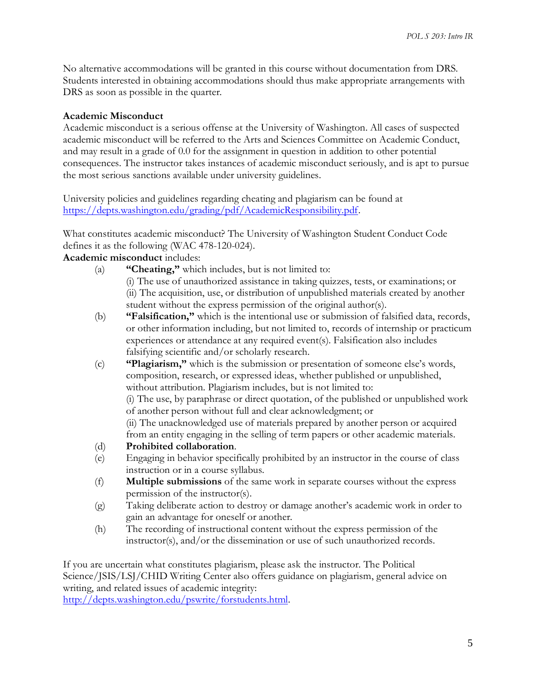No alternative accommodations will be granted in this course without documentation from DRS. Students interested in obtaining accommodations should thus make appropriate arrangements with DRS as soon as possible in the quarter.

### **Academic Misconduct**

Academic misconduct is a serious offense at the University of Washington. All cases of suspected academic misconduct will be referred to the Arts and Sciences Committee on Academic Conduct, and may result in a grade of 0.0 for the assignment in question in addition to other potential consequences. The instructor takes instances of academic misconduct seriously, and is apt to pursue the most serious sanctions available under university guidelines.

University policies and guidelines regarding cheating and plagiarism can be found at [https://depts.washington.edu/grading/pdf/AcademicResponsibility.pdf.](https://depts.washington.edu/grading/pdf/AcademicResponsibility.pdf)

What constitutes academic misconduct? The University of Washington Student Conduct Code defines it as the following (WAC 478-120-024).

### **Academic misconduct** includes:

- (a) **"Cheating,"** which includes, but is not limited to:
	- (i) The use of unauthorized assistance in taking quizzes, tests, or examinations; or (ii) The acquisition, use, or distribution of unpublished materials created by another student without the express permission of the original author(s).
- (b) **"Falsification,"** which is the intentional use or submission of falsified data, records, or other information including, but not limited to, records of internship or practicum experiences or attendance at any required event(s). Falsification also includes falsifying scientific and/or scholarly research.
- (c) **"Plagiarism,"** which is the submission or presentation of someone else's words, composition, research, or expressed ideas, whether published or unpublished, without attribution. Plagiarism includes, but is not limited to: (i) The use, by paraphrase or direct quotation, of the published or unpublished work of another person without full and clear acknowledgment; or (ii) The unacknowledged use of materials prepared by another person or acquired from an entity engaging in the selling of term papers or other academic materials.
- (d) **Prohibited collaboration**.
- (e) Engaging in behavior specifically prohibited by an instructor in the course of class instruction or in a course syllabus.
- (f) **Multiple submissions** of the same work in separate courses without the express permission of the instructor(s).
- (g) Taking deliberate action to destroy or damage another's academic work in order to gain an advantage for oneself or another.
- (h) The recording of instructional content without the express permission of the instructor(s), and/or the dissemination or use of such unauthorized records.

If you are uncertain what constitutes plagiarism, please ask the instructor. The Political Science/JSIS/LSJ/CHID Writing Center also offers guidance on plagiarism, general advice on writing, and related issues of academic integrity:

[http://depts.washington.edu/pswrite/forstudents.html.](http://depts.washington.edu/pswrite/forstudents.html)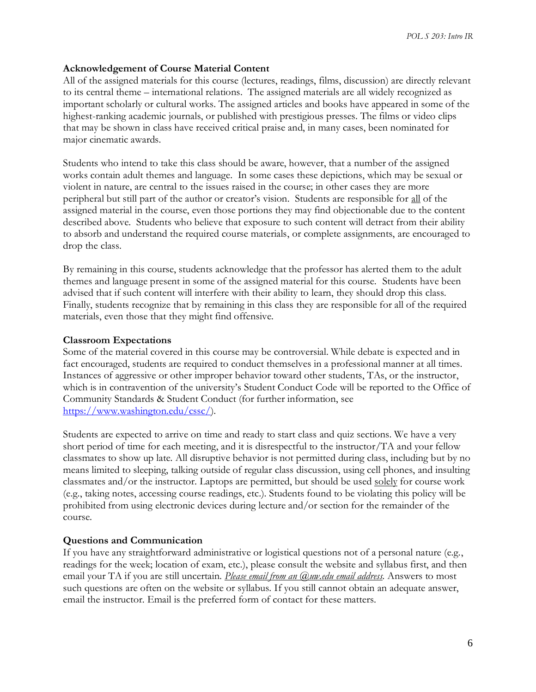### **Acknowledgement of Course Material Content**

All of the assigned materials for this course (lectures, readings, films, discussion) are directly relevant to its central theme – international relations. The assigned materials are all widely recognized as important scholarly or cultural works. The assigned articles and books have appeared in some of the highest-ranking academic journals, or published with prestigious presses. The films or video clips that may be shown in class have received critical praise and, in many cases, been nominated for major cinematic awards.

Students who intend to take this class should be aware, however, that a number of the assigned works contain adult themes and language. In some cases these depictions, which may be sexual or violent in nature, are central to the issues raised in the course; in other cases they are more peripheral but still part of the author or creator's vision. Students are responsible for all of the assigned material in the course, even those portions they may find objectionable due to the content described above. Students who believe that exposure to such content will detract from their ability to absorb and understand the required course materials, or complete assignments, are encouraged to drop the class.

By remaining in this course, students acknowledge that the professor has alerted them to the adult themes and language present in some of the assigned material for this course. Students have been advised that if such content will interfere with their ability to learn, they should drop this class. Finally, students recognize that by remaining in this class they are responsible for all of the required materials, even those that they might find offensive.

### **Classroom Expectations**

Some of the material covered in this course may be controversial. While debate is expected and in fact encouraged, students are required to conduct themselves in a professional manner at all times. Instances of aggressive or other improper behavior toward other students, TAs, or the instructor, which is in contravention of the university's Student Conduct Code will be reported to the Office of Community Standards & Student Conduct (for further information, see [https://www.washington.edu/cssc/\)](https://www.washington.edu/cssc/).

Students are expected to arrive on time and ready to start class and quiz sections. We have a very short period of time for each meeting, and it is disrespectful to the instructor/TA and your fellow classmates to show up late. All disruptive behavior is not permitted during class, including but by no means limited to sleeping, talking outside of regular class discussion, using cell phones, and insulting classmates and/or the instructor. Laptops are permitted, but should be used solely for course work (e.g., taking notes, accessing course readings, etc.). Students found to be violating this policy will be prohibited from using electronic devices during lecture and/or section for the remainder of the course.

### **Questions and Communication**

If you have any straightforward administrative or logistical questions not of a personal nature (e.g., readings for the week; location of exam, etc.), please consult the website and syllabus first, and then email your TA if you are still uncertain. *Please email from an @uw.edu email address.* Answers to most such questions are often on the website or syllabus. If you still cannot obtain an adequate answer, email the instructor. Email is the preferred form of contact for these matters.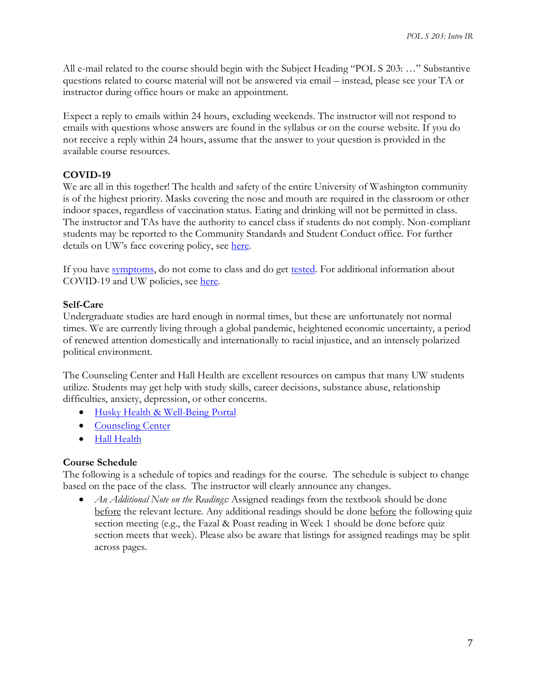All e-mail related to the course should begin with the Subject Heading "POL S 203: …" Substantive questions related to course material will not be answered via email – instead, please see your TA or instructor during office hours or make an appointment.

Expect a reply to emails within 24 hours, excluding weekends. The instructor will not respond to emails with questions whose answers are found in the syllabus or on the course website. If you do not receive a reply within 24 hours, assume that the answer to your question is provided in the available course resources.

# **COVID-19**

We are all in this together! The health and safety of the entire University of Washington community is of the highest priority. Masks covering the nose and mouth are required in the classroom or other indoor spaces, regardless of vaccination status. Eating and drinking will not be permitted in class. The instructor and TAs have the authority to cancel class if students do not comply. Non-compliant students may be reported to the Community Standards and Student Conduct office. For further details on UW's face covering policy, see [here.](https://www.ehs.washington.edu/system/files/resources/COVID-19-face-cover-policy.pdf)

If you have [symptoms,](https://coronavirus.uwhealth.org/symptoms-and-care/) do not come to class and do get [tested.](https://www.washington.edu/coronavirus/testing/) For additional information about COVID-19 and UW policies, see [here.](https://www.washington.edu/coronavirus/student-faq/)

### **Self-Care**

Undergraduate studies are hard enough in normal times, but these are unfortunately not normal times. We are currently living through a global pandemic, heightened economic uncertainty, a period of renewed attention domestically and internationally to racial injustice, and an intensely polarized political environment.

The Counseling Center and Hall Health are excellent resources on campus that many UW students utilize. Students may get help with study skills, career decisions, substance abuse, relationship difficulties, anxiety, depression, or other concerns.

- [Husky Health & Well-Being Portal](https://wellbeing.uw.edu/)
- [Counseling Center](https://www.washington.edu/counseling/)
- [Hall Health](https://wellbeing.uw.edu/unit/hall-health/)

### **Course Schedule**

The following is a schedule of topics and readings for the course. The schedule is subject to change based on the pace of the class. The instructor will clearly announce any changes.

• *An Additional Note on the Readings:* Assigned readings from the textbook should be done before the relevant lecture. Any additional readings should be done before the following quiz section meeting (e.g., the Fazal & Poast reading in Week 1 should be done before quiz section meets that week). Please also be aware that listings for assigned readings may be split across pages.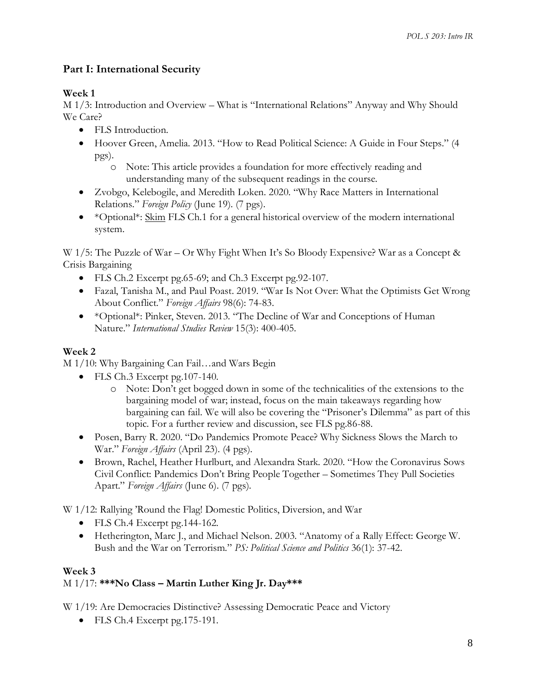# **Part I: International Security**

# **Week 1**

M 1/3: Introduction and Overview – What is "International Relations" Anyway and Why Should We Care?

- FLS Introduction.
- Hoover Green, Amelia. 2013. "How to Read Political Science: A Guide in Four Steps." (4 pgs).
	- o Note: This article provides a foundation for more effectively reading and understanding many of the subsequent readings in the course.
- Zvobgo, Kelebogile, and Meredith Loken. 2020. "Why Race Matters in International Relations." *Foreign Policy* (June 19). (7 pgs).
- \*Optional\*: Skim FLS Ch.1 for a general historical overview of the modern international system.

W 1/5: The Puzzle of War – Or Why Fight When It's So Bloody Expensive? War as a Concept & Crisis Bargaining

- FLS Ch.2 Excerpt pg.65-69; and Ch.3 Excerpt pg.92-107.
- Fazal, Tanisha M., and Paul Poast. 2019. "War Is Not Over: What the Optimists Get Wrong About Conflict." *Foreign Affairs* 98(6): 74-83.
- \*Optional\*: Pinker, Steven. 2013. "The Decline of War and Conceptions of Human Nature." *International Studies Review* 15(3): 400-405.

# **Week 2**

M 1/10: Why Bargaining Can Fail…and Wars Begin

- FLS Ch.3 Excerpt pg.107-140.
	- o Note: Don't get bogged down in some of the technicalities of the extensions to the bargaining model of war; instead, focus on the main takeaways regarding how bargaining can fail. We will also be covering the "Prisoner's Dilemma" as part of this topic. For a further review and discussion, see FLS pg.86-88.
- Posen, Barry R. 2020. "Do Pandemics Promote Peace? Why Sickness Slows the March to War." *Foreign Affairs* (April 23). (4 pgs).
- Brown, Rachel, Heather Hurlburt, and Alexandra Stark. 2020. "How the Coronavirus Sows Civil Conflict: Pandemics Don't Bring People Together – Sometimes They Pull Societies Apart." *Foreign Affairs* (June 6). (7 pgs).

W 1/12: Rallying 'Round the Flag! Domestic Politics, Diversion, and War

- FLS Ch.4 Excerpt pg.144-162.
- Hetherington, Marc J., and Michael Nelson. 2003. "Anatomy of a Rally Effect: George W. Bush and the War on Terrorism." *PS: Political Science and Politics* 36(1): 37-42.

### **Week 3** M 1/17: **\*\*\*No Class – Martin Luther King Jr. Day\*\*\***

W 1/19: Are Democracies Distinctive? Assessing Democratic Peace and Victory

• FLS Ch.4 Excerpt pg.175-191.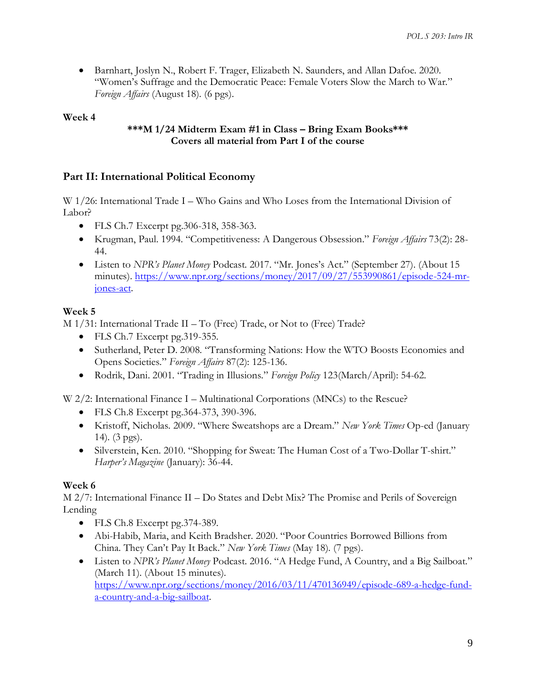• Barnhart, Joslyn N., Robert F. Trager, Elizabeth N. Saunders, and Allan Dafoe. 2020. "Women's Suffrage and the Democratic Peace: Female Voters Slow the March to War." *Foreign Affairs* (August 18). (6 pgs).

## **Week 4**

## **\*\*\*M 1/24 Midterm Exam #1 in Class – Bring Exam Books\*\*\* Covers all material from Part I of the course**

# **Part II: International Political Economy**

W 1/26: International Trade I – Who Gains and Who Loses from the International Division of Labor?

- FLS Ch.7 Excerpt pg.306-318, 358-363.
- Krugman, Paul. 1994. "Competitiveness: A Dangerous Obsession." *Foreign Affairs* 73(2): 28- 44.
- Listen to *NPR's Planet Money* Podcast. 2017. "Mr. Jones's Act." (September 27). (About 15 minutes). [https://www.npr.org/sections/money/2017/09/27/553990861/episode-524-mr](https://www.npr.org/sections/money/2017/09/27/553990861/episode-524-mr-jones-act)[jones-act.](https://www.npr.org/sections/money/2017/09/27/553990861/episode-524-mr-jones-act)

## **Week 5**

M 1/31: International Trade II – To (Free) Trade, or Not to (Free) Trade?

- FLS Ch.7 Excerpt pg.319-355.
- Sutherland, Peter D. 2008. "Transforming Nations: How the WTO Boosts Economies and Opens Societies." *Foreign Affairs* 87(2): 125-136.
- Rodrik, Dani. 2001. "Trading in Illusions." *Foreign Policy* 123(March/April): 54-62.

W 2/2: International Finance I – Multinational Corporations (MNCs) to the Rescue?

- FLS Ch.8 Excerpt pg.364-373, 390-396.
- Kristoff, Nicholas. 2009. "Where Sweatshops are a Dream." *New York Times* Op-ed (January 14). (3 pgs).
- Silverstein, Ken. 2010. "Shopping for Sweat: The Human Cost of a Two-Dollar T-shirt." *Harper's Magazine* (January): 36-44.

# **Week 6**

M 2/7: International Finance II – Do States and Debt Mix? The Promise and Perils of Sovereign Lending

- FLS Ch.8 Excerpt pg.374-389.
- Abi-Habib, Maria, and Keith Bradsher. 2020. "Poor Countries Borrowed Billions from China. They Can't Pay It Back." *New York Times* (May 18). (7 pgs).
- Listen to *NPR's Planet Money* Podcast. 2016. "A Hedge Fund, A Country, and a Big Sailboat." (March 11). (About 15 minutes). [https://www.npr.org/sections/money/2016/03/11/470136949/episode-689-a-hedge-fund](https://www.npr.org/sections/money/2016/03/11/470136949/episode-689-a-hedge-fund-a-country-and-a-big-sailboat)[a-country-and-a-big-sailboat.](https://www.npr.org/sections/money/2016/03/11/470136949/episode-689-a-hedge-fund-a-country-and-a-big-sailboat)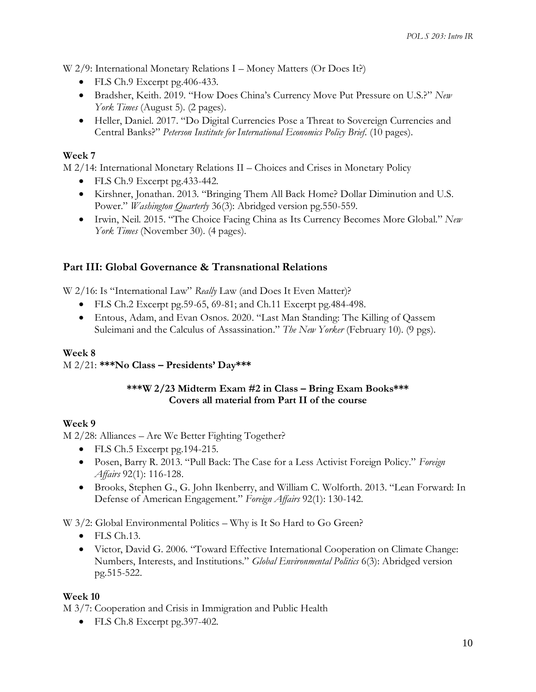W 2/9: International Monetary Relations I – Money Matters (Or Does It?)

- FLS Ch.9 Excerpt pg.406-433.
- Bradsher, Keith. 2019. "How Does China's Currency Move Put Pressure on U.S.?" *New York Times* (August 5). (2 pages).
- Heller, Daniel. 2017. "Do Digital Currencies Pose a Threat to Sovereign Currencies and Central Banks?" *Peterson Institute for International Economics Policy Brief*. (10 pages).

# **Week 7**

M 2/14: International Monetary Relations II – Choices and Crises in Monetary Policy

- FLS Ch.9 Excerpt pg.433-442.
- Kirshner, Jonathan. 2013. "Bringing Them All Back Home? Dollar Diminution and U.S. Power." *Washington Quarterly* 36(3): Abridged version pg.550-559.
- Irwin, Neil. 2015. "The Choice Facing China as Its Currency Becomes More Global." *New York Times* (November 30). (4 pages).

# **Part III: Global Governance & Transnational Relations**

W 2/16: Is "International Law" *Really* Law (and Does It Even Matter)?

- FLS Ch.2 Excerpt pg.59-65, 69-81; and Ch.11 Excerpt pg.484-498.
- Entous, Adam, and Evan Osnos. 2020. "Last Man Standing: The Killing of Qassem Suleimani and the Calculus of Assassination." *The New Yorker* (February 10). (9 pgs).

# **Week 8**

M 2/21: **\*\*\*No Class – Presidents' Day\*\*\***

## **\*\*\*W 2/23 Midterm Exam #2 in Class – Bring Exam Books\*\*\* Covers all material from Part II of the course**

# **Week 9**

M 2/28: Alliances – Are We Better Fighting Together?

- FLS Ch.5 Excerpt pg.194-215.
- Posen, Barry R. 2013. "Pull Back: The Case for a Less Activist Foreign Policy." *Foreign Affairs* 92(1): 116-128.
- Brooks, Stephen G., G. John Ikenberry, and William C. Wolforth. 2013. "Lean Forward: In Defense of American Engagement." *Foreign Affairs* 92(1): 130-142.

W 3/2: Global Environmental Politics – Why is It So Hard to Go Green?

- FLS Ch.13.
- Victor, David G. 2006. "Toward Effective International Cooperation on Climate Change: Numbers, Interests, and Institutions." *Global Environmental Politics* 6(3): Abridged version pg.515-522.

### **Week 10**

M 3/7: Cooperation and Crisis in Immigration and Public Health

• FLS Ch.8 Excerpt pg.397-402.